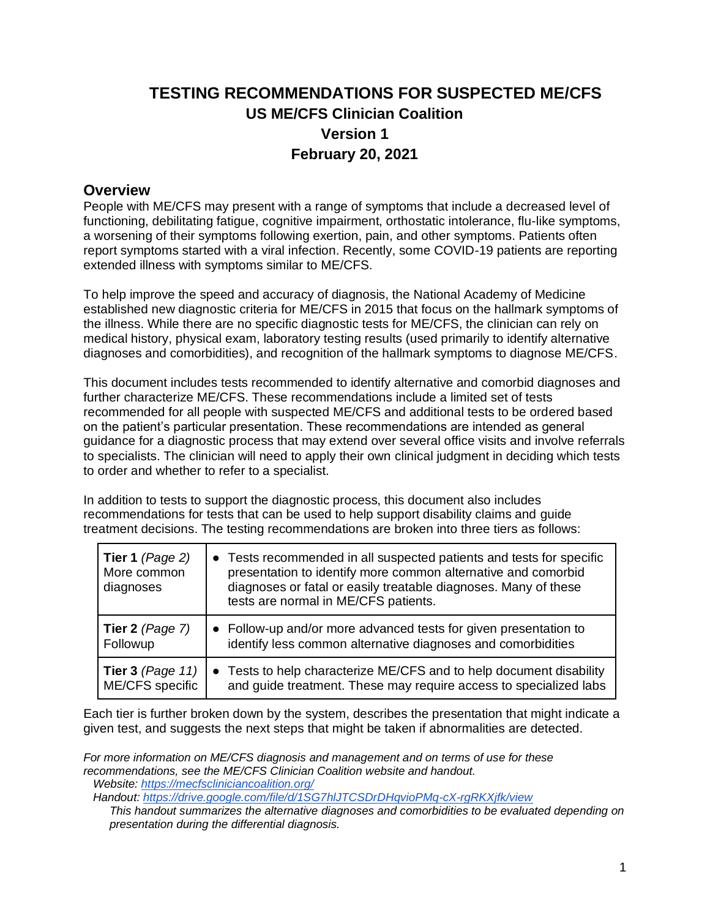# **TESTING RECOMMENDATIONS FOR SUSPECTED ME/CFS US ME/CFS Clinician Coalition Version 1 February 20, 2021**

#### **Overview**

People with ME/CFS may present with a range of symptoms that include a decreased level of functioning, debilitating fatigue, cognitive impairment, orthostatic intolerance, flu-like symptoms, a worsening of their symptoms following exertion, pain, and other symptoms. Patients often report symptoms started with a viral infection. Recently, some COVID-19 patients are reporting extended illness with symptoms similar to ME/CFS.

To help improve the speed and accuracy of diagnosis, the National Academy of Medicine established new diagnostic criteria for ME/CFS in 2015 that focus on the hallmark symptoms of the illness. While there are no specific diagnostic tests for ME/CFS, the clinician can rely on medical history, physical exam, laboratory testing results (used primarily to identify alternative diagnoses and comorbidities), and recognition of the hallmark symptoms to diagnose ME/CFS.

This document includes tests recommended to identify alternative and comorbid diagnoses and further characterize ME/CFS. These recommendations include a limited set of tests recommended for all people with suspected ME/CFS and additional tests to be ordered based on the patient's particular presentation. These recommendations are intended as general guidance for a diagnostic process that may extend over several office visits and involve referrals to specialists. The clinician will need to apply their own clinical judgment in deciding which tests to order and whether to refer to a specialist.

In addition to tests to support the diagnostic process, this document also includes recommendations for tests that can be used to help support disability claims and guide treatment decisions. The testing recommendations are broken into three tiers as follows:

| Tier 1 $(Page 2)$<br>More common<br>diagnoses | • Tests recommended in all suspected patients and tests for specific<br>presentation to identify more common alternative and comorbid<br>diagnoses or fatal or easily treatable diagnoses. Many of these<br>tests are normal in ME/CFS patients. |
|-----------------------------------------------|--------------------------------------------------------------------------------------------------------------------------------------------------------------------------------------------------------------------------------------------------|
| Tier 2 $(Page 7)$                             | • Follow-up and/or more advanced tests for given presentation to                                                                                                                                                                                 |
| Followup                                      | identify less common alternative diagnoses and comorbidities                                                                                                                                                                                     |
| Tier 3 (Page 11) $\vert$                      | • Tests to help characterize ME/CFS and to help document disability                                                                                                                                                                              |
| ME/CFS specific                               | and guide treatment. These may require access to specialized labs                                                                                                                                                                                |

Each tier is further broken down by the system, describes the presentation that might indicate a given test, and suggests the next steps that might be taken if abnormalities are detected.

*For more information on ME/CFS diagnosis and management and on terms of use for these recommendations, see the ME/CFS Clinician Coalition website and handout.*

 *Website:<https://mecfscliniciancoalition.org/>*

 *Handout:<https://drive.google.com/file/d/1SG7hlJTCSDrDHqvioPMq-cX-rgRKXjfk/view>*

*This handout summarizes the alternative diagnoses and comorbidities to be evaluated depending on presentation during the differential diagnosis.*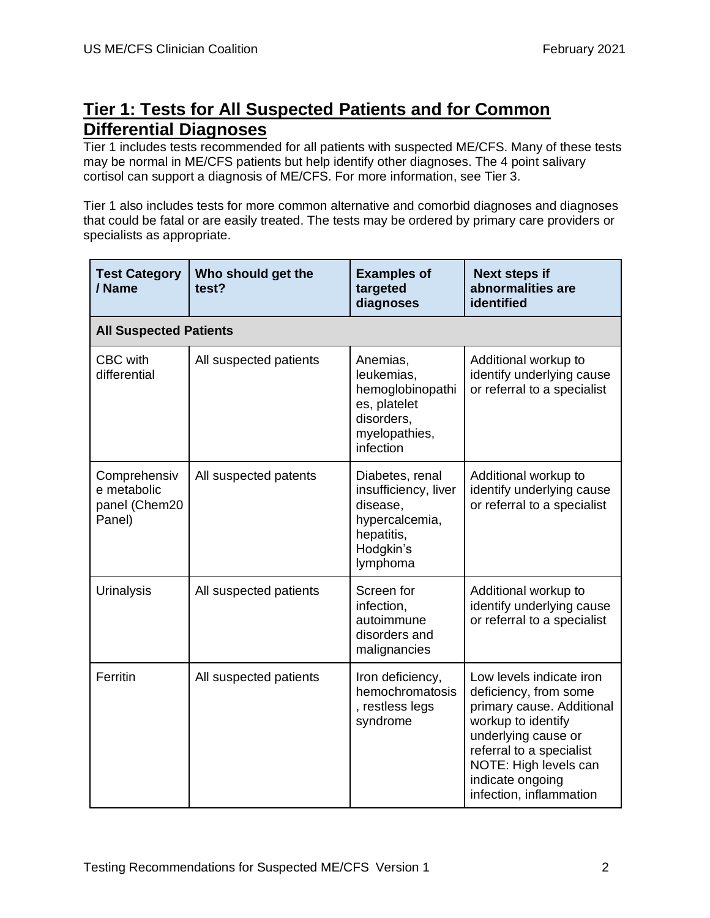# **Tier 1: Tests for All Suspected Patients and for Common Differential Diagnoses**

Tier 1 includes tests recommended for all patients with suspected ME/CFS. Many of these tests may be normal in ME/CFS patients but help identify other diagnoses. The 4 point salivary cortisol can support a diagnosis of ME/CFS. For more information, see Tier 3.

Tier 1 also includes tests for more common alternative and comorbid diagnoses and diagnoses that could be fatal or are easily treated. The tests may be ordered by primary care providers or specialists as appropriate.

| <b>Test Category</b><br>/ Name                         | Who should get the<br>test? | <b>Examples of</b><br>targeted<br>diagnoses                                                                  | <b>Next steps if</b><br>abnormalities are<br>identified                                                                                                                                                                         |
|--------------------------------------------------------|-----------------------------|--------------------------------------------------------------------------------------------------------------|---------------------------------------------------------------------------------------------------------------------------------------------------------------------------------------------------------------------------------|
| <b>All Suspected Patients</b>                          |                             |                                                                                                              |                                                                                                                                                                                                                                 |
| CBC with<br>differential                               | All suspected patients      | Anemias,<br>leukemias,<br>hemoglobinopathi<br>es, platelet<br>disorders,<br>myelopathies,<br>infection       | Additional workup to<br>identify underlying cause<br>or referral to a specialist                                                                                                                                                |
| Comprehensiv<br>e metabolic<br>panel (Chem20<br>Panel) | All suspected patents       | Diabetes, renal<br>insufficiency, liver<br>disease,<br>hypercalcemia,<br>hepatitis,<br>Hodgkin's<br>lymphoma | Additional workup to<br>identify underlying cause<br>or referral to a specialist                                                                                                                                                |
| <b>Urinalysis</b>                                      | All suspected patients      | Screen for<br>infection,<br>autoimmune<br>disorders and<br>malignancies                                      | Additional workup to<br>identify underlying cause<br>or referral to a specialist                                                                                                                                                |
| Ferritin                                               | All suspected patients      | Iron deficiency,<br>hemochromatosis<br>, restless legs<br>syndrome                                           | Low levels indicate iron<br>deficiency, from some<br>primary cause. Additional<br>workup to identify<br>underlying cause or<br>referral to a specialist<br>NOTE: High levels can<br>indicate ongoing<br>infection, inflammation |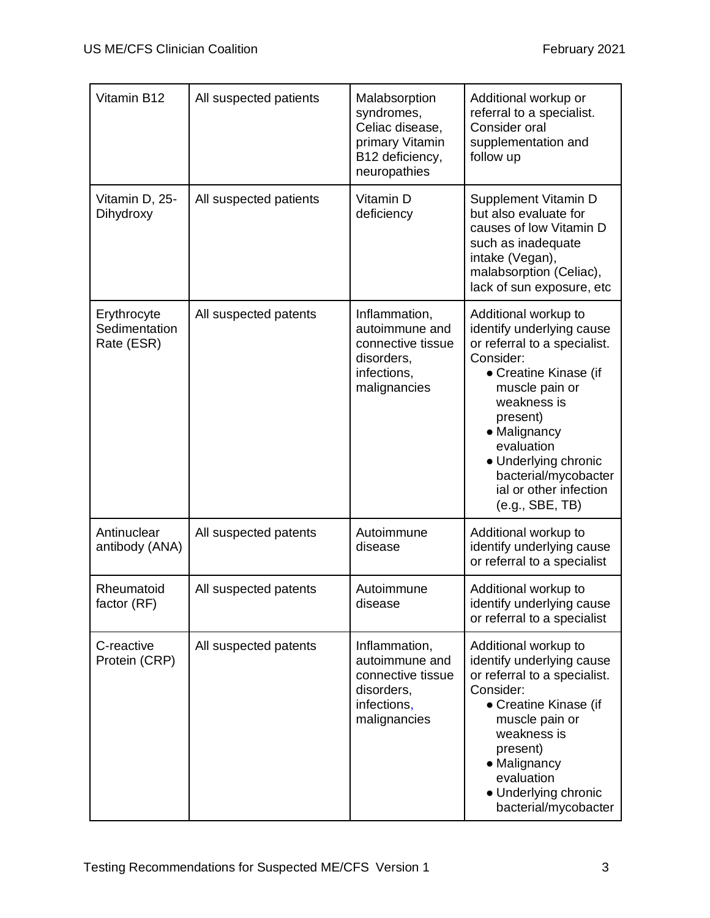| Vitamin B12                                | All suspected patients | Malabsorption<br>syndromes,<br>Celiac disease,<br>primary Vitamin<br>B12 deficiency,<br>neuropathies | Additional workup or<br>referral to a specialist.<br>Consider oral<br>supplementation and<br>follow up                                                                                                                                                                                          |
|--------------------------------------------|------------------------|------------------------------------------------------------------------------------------------------|-------------------------------------------------------------------------------------------------------------------------------------------------------------------------------------------------------------------------------------------------------------------------------------------------|
| Vitamin D, 25-<br>Dihydroxy                | All suspected patients | Vitamin D<br>deficiency                                                                              | Supplement Vitamin D<br>but also evaluate for<br>causes of low Vitamin D<br>such as inadequate<br>intake (Vegan),<br>malabsorption (Celiac),<br>lack of sun exposure, etc                                                                                                                       |
| Erythrocyte<br>Sedimentation<br>Rate (ESR) | All suspected patents  | Inflammation,<br>autoimmune and<br>connective tissue<br>disorders,<br>infections,<br>malignancies    | Additional workup to<br>identify underlying cause<br>or referral to a specialist.<br>Consider:<br>• Creatine Kinase (if<br>muscle pain or<br>weakness is<br>present)<br>• Malignancy<br>evaluation<br>• Underlying chronic<br>bacterial/mycobacter<br>ial or other infection<br>(e.g., SBE, TB) |
| Antinuclear<br>antibody (ANA)              | All suspected patents  | Autoimmune<br>disease                                                                                | Additional workup to<br>identify underlying cause<br>or referral to a specialist                                                                                                                                                                                                                |
| Rheumatoid<br>factor (RF)                  | All suspected patents  | Autoimmune<br>disease                                                                                | Additional workup to<br>identify underlying cause<br>or referral to a specialist                                                                                                                                                                                                                |
| C-reactive<br>Protein (CRP)                | All suspected patents  | Inflammation,<br>autoimmune and<br>connective tissue<br>disorders,<br>infections,<br>malignancies    | Additional workup to<br>identify underlying cause<br>or referral to a specialist.<br>Consider:<br>• Creatine Kinase (if<br>muscle pain or<br>weakness is<br>present)<br>• Malignancy<br>evaluation<br>• Underlying chronic<br>bacterial/mycobacter                                              |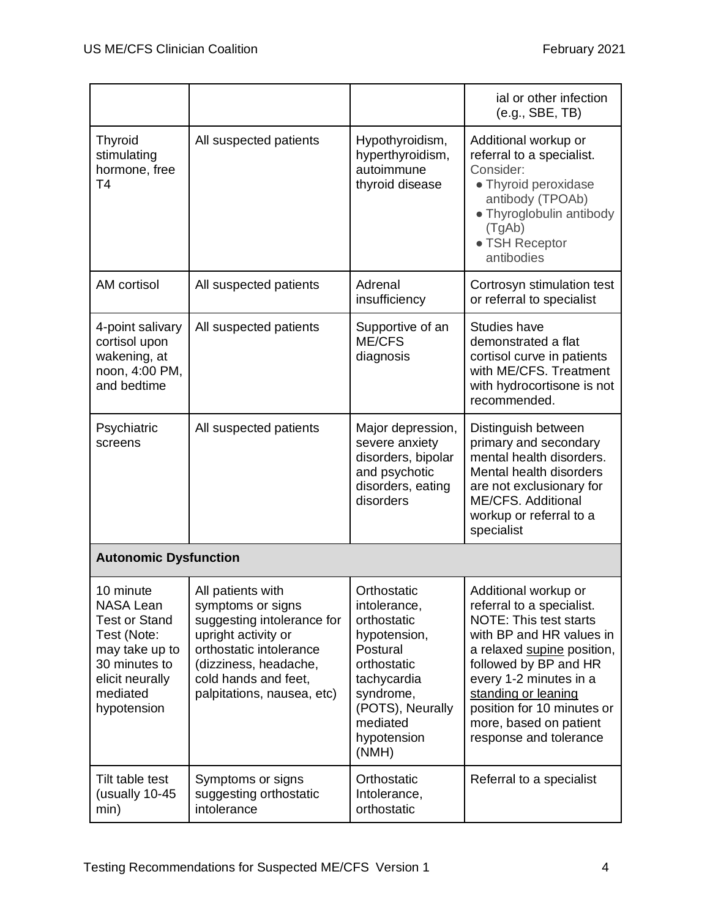|                                                                                                                                                       |                                                                                                                                                                                                       |                                                                                                                                                                           | ial or other infection<br>(e.g., SBE, TB)                                                                                                                                                                                                                                                                |
|-------------------------------------------------------------------------------------------------------------------------------------------------------|-------------------------------------------------------------------------------------------------------------------------------------------------------------------------------------------------------|---------------------------------------------------------------------------------------------------------------------------------------------------------------------------|----------------------------------------------------------------------------------------------------------------------------------------------------------------------------------------------------------------------------------------------------------------------------------------------------------|
| <b>Thyroid</b><br>stimulating<br>hormone, free<br>T <sub>4</sub>                                                                                      | All suspected patients                                                                                                                                                                                | Hypothyroidism,<br>hyperthyroidism,<br>autoimmune<br>thyroid disease                                                                                                      | Additional workup or<br>referral to a specialist.<br>Consider:<br>• Thyroid peroxidase<br>antibody (TPOAb)<br>• Thyroglobulin antibody<br>(TgAb)<br>• TSH Receptor<br>antibodies                                                                                                                         |
| AM cortisol                                                                                                                                           | All suspected patients                                                                                                                                                                                | Adrenal<br>insufficiency                                                                                                                                                  | Cortrosyn stimulation test<br>or referral to specialist                                                                                                                                                                                                                                                  |
| 4-point salivary<br>cortisol upon<br>wakening, at<br>noon, 4:00 PM,<br>and bedtime                                                                    | All suspected patients                                                                                                                                                                                | Supportive of an<br>ME/CFS<br>diagnosis                                                                                                                                   | <b>Studies have</b><br>demonstrated a flat<br>cortisol curve in patients<br>with ME/CFS. Treatment<br>with hydrocortisone is not<br>recommended.                                                                                                                                                         |
| Psychiatric<br>screens                                                                                                                                | All suspected patients                                                                                                                                                                                | Major depression,<br>severe anxiety<br>disorders, bipolar<br>and psychotic<br>disorders, eating<br>disorders                                                              | Distinguish between<br>primary and secondary<br>mental health disorders.<br>Mental health disorders<br>are not exclusionary for<br>ME/CFS. Additional<br>workup or referral to a<br>specialist                                                                                                           |
| <b>Autonomic Dysfunction</b>                                                                                                                          |                                                                                                                                                                                                       |                                                                                                                                                                           |                                                                                                                                                                                                                                                                                                          |
| 10 minute<br><b>NASA Lean</b><br><b>Test or Stand</b><br>Test (Note:<br>may take up to<br>30 minutes to<br>elicit neurally<br>mediated<br>hypotension | All patients with<br>symptoms or signs<br>suggesting intolerance for<br>upright activity or<br>orthostatic intolerance<br>(dizziness, headache,<br>cold hands and feet,<br>palpitations, nausea, etc) | Orthostatic<br>intolerance,<br>orthostatic<br>hypotension,<br>Postural<br>orthostatic<br>tachycardia<br>syndrome,<br>(POTS), Neurally<br>mediated<br>hypotension<br>(NMH) | Additional workup or<br>referral to a specialist.<br><b>NOTE: This test starts</b><br>with BP and HR values in<br>a relaxed supine position,<br>followed by BP and HR<br>every 1-2 minutes in a<br>standing or leaning<br>position for 10 minutes or<br>more, based on patient<br>response and tolerance |
| Tilt table test<br>(usually 10-45<br>min)                                                                                                             | Symptoms or signs<br>suggesting orthostatic<br>intolerance                                                                                                                                            | Orthostatic<br>Intolerance,<br>orthostatic                                                                                                                                | Referral to a specialist                                                                                                                                                                                                                                                                                 |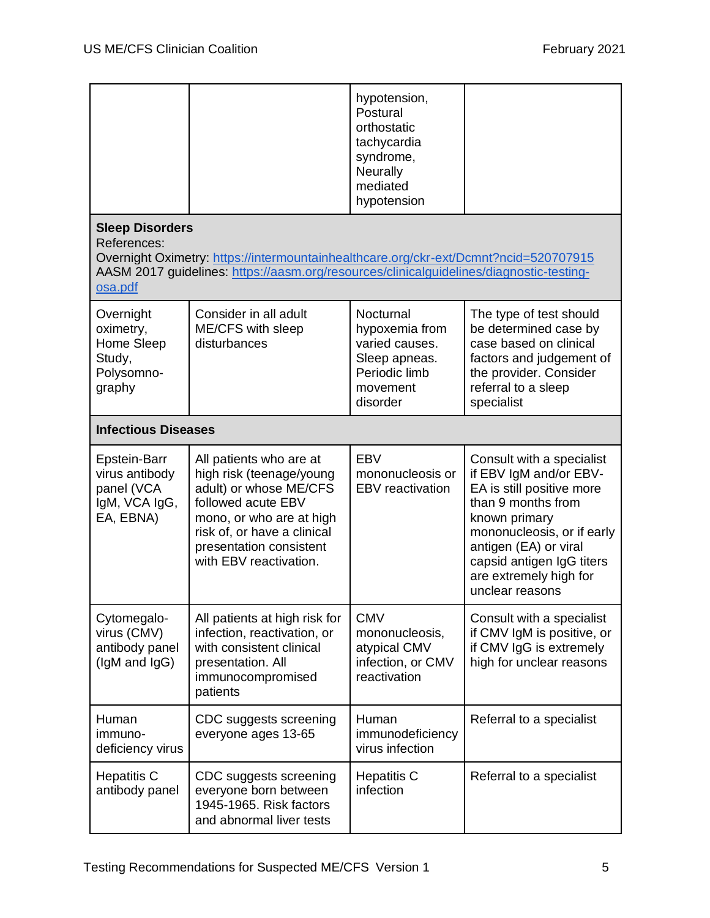|                                                                            |                                                                                                                                                                                                                     | hypotension,<br>Postural<br>orthostatic<br>tachycardia<br>syndrome,<br>Neurally<br>mediated<br>hypotension |                                                                                                                                                                                                                                                          |
|----------------------------------------------------------------------------|---------------------------------------------------------------------------------------------------------------------------------------------------------------------------------------------------------------------|------------------------------------------------------------------------------------------------------------|----------------------------------------------------------------------------------------------------------------------------------------------------------------------------------------------------------------------------------------------------------|
| <b>Sleep Disorders</b><br>References:<br>osa.pdf                           | Overnight Oximetry: https://intermountainhealthcare.org/ckr-ext/Dcmnt?ncid=520707915<br>AASM 2017 guidelines: https://aasm.org/resources/clinicalguidelines/diagnostic-testing-                                     |                                                                                                            |                                                                                                                                                                                                                                                          |
| Overnight<br>oximetry,<br>Home Sleep<br>Study,<br>Polysomno-<br>graphy     | Consider in all adult<br>ME/CFS with sleep<br>disturbances                                                                                                                                                          | Nocturnal<br>hypoxemia from<br>varied causes.<br>Sleep apneas.<br>Periodic limb<br>movement<br>disorder    | The type of test should<br>be determined case by<br>case based on clinical<br>factors and judgement of<br>the provider. Consider<br>referral to a sleep<br>specialist                                                                                    |
| <b>Infectious Diseases</b>                                                 |                                                                                                                                                                                                                     |                                                                                                            |                                                                                                                                                                                                                                                          |
| Epstein-Barr<br>virus antibody<br>panel (VCA<br>IgM, VCA IgG,<br>EA, EBNA) | All patients who are at<br>high risk (teenage/young<br>adult) or whose ME/CFS<br>followed acute EBV<br>mono, or who are at high<br>risk of, or have a clinical<br>presentation consistent<br>with EBV reactivation. | EBV<br>mononucleosis or<br><b>EBV</b> reactivation                                                         | Consult with a specialist<br>if EBV IgM and/or EBV-<br>EA is still positive more<br>than 9 months from<br>known primary<br>mononucleosis, or if early<br>antigen (EA) or viral<br>capsid antigen IgG titers<br>are extremely high for<br>unclear reasons |
| Cytomegalo-<br>virus (CMV)<br>antibody panel<br>(IgM and IgG)              | All patients at high risk for<br>infection, reactivation, or<br>with consistent clinical<br>presentation. All<br>immunocompromised<br>patients                                                                      | <b>CMV</b><br>mononucleosis,<br>atypical CMV<br>infection, or CMV<br>reactivation                          | Consult with a specialist<br>if CMV IgM is positive, or<br>if CMV IgG is extremely<br>high for unclear reasons                                                                                                                                           |
| Human<br>immuno-<br>deficiency virus                                       | CDC suggests screening<br>everyone ages 13-65                                                                                                                                                                       | Human<br>immunodeficiency<br>virus infection                                                               | Referral to a specialist                                                                                                                                                                                                                                 |
| <b>Hepatitis C</b><br>antibody panel                                       | CDC suggests screening<br>everyone born between<br>1945-1965. Risk factors<br>and abnormal liver tests                                                                                                              | <b>Hepatitis C</b><br>infection                                                                            | Referral to a specialist                                                                                                                                                                                                                                 |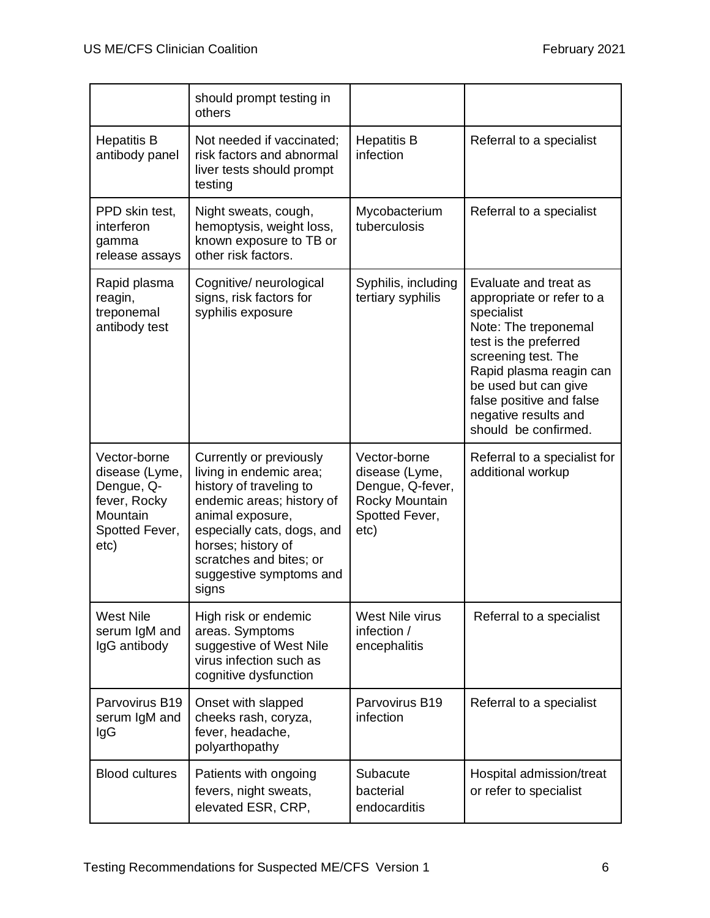|                                                                                                    | should prompt testing in<br>others                                                                                                                                                                                                                |                                                                                                |                                                                                                                                                                                                                                                                         |
|----------------------------------------------------------------------------------------------------|---------------------------------------------------------------------------------------------------------------------------------------------------------------------------------------------------------------------------------------------------|------------------------------------------------------------------------------------------------|-------------------------------------------------------------------------------------------------------------------------------------------------------------------------------------------------------------------------------------------------------------------------|
| <b>Hepatitis B</b><br>antibody panel                                                               | Not needed if vaccinated;<br>risk factors and abnormal<br>liver tests should prompt<br>testing                                                                                                                                                    | <b>Hepatitis B</b><br>infection                                                                | Referral to a specialist                                                                                                                                                                                                                                                |
| PPD skin test,<br>interferon<br>gamma<br>release assays                                            | Night sweats, cough,<br>hemoptysis, weight loss,<br>known exposure to TB or<br>other risk factors.                                                                                                                                                | Mycobacterium<br>tuberculosis                                                                  | Referral to a specialist                                                                                                                                                                                                                                                |
| Rapid plasma<br>reagin,<br>treponemal<br>antibody test                                             | Cognitive/ neurological<br>signs, risk factors for<br>syphilis exposure                                                                                                                                                                           | Syphilis, including<br>tertiary syphilis                                                       | Evaluate and treat as<br>appropriate or refer to a<br>specialist<br>Note: The treponemal<br>test is the preferred<br>screening test. The<br>Rapid plasma reagin can<br>be used but can give<br>false positive and false<br>negative results and<br>should be confirmed. |
| Vector-borne<br>disease (Lyme,<br>Dengue, Q-<br>fever, Rocky<br>Mountain<br>Spotted Fever,<br>etc) | Currently or previously<br>living in endemic area;<br>history of traveling to<br>endemic areas; history of<br>animal exposure,<br>especially cats, dogs, and<br>horses; history of<br>scratches and bites; or<br>suggestive symptoms and<br>signs | Vector-borne<br>disease (Lyme,<br>Dengue, Q-fever,<br>Rocky Mountain<br>Spotted Fever,<br>etc) | Referral to a specialist for<br>additional workup                                                                                                                                                                                                                       |
| <b>West Nile</b><br>serum IgM and<br>IgG antibody                                                  | High risk or endemic<br>areas. Symptoms<br>suggestive of West Nile<br>virus infection such as<br>cognitive dysfunction                                                                                                                            | West Nile virus<br>infection /<br>encephalitis                                                 | Referral to a specialist                                                                                                                                                                                                                                                |
| Parvovirus B19<br>serum IgM and<br>IgG                                                             | Onset with slapped<br>cheeks rash, coryza,<br>fever, headache,<br>polyarthopathy                                                                                                                                                                  | Parvovirus B19<br>infection                                                                    | Referral to a specialist                                                                                                                                                                                                                                                |
| <b>Blood cultures</b>                                                                              | Patients with ongoing<br>fevers, night sweats,<br>elevated ESR, CRP,                                                                                                                                                                              | Subacute<br>bacterial<br>endocarditis                                                          | Hospital admission/treat<br>or refer to specialist                                                                                                                                                                                                                      |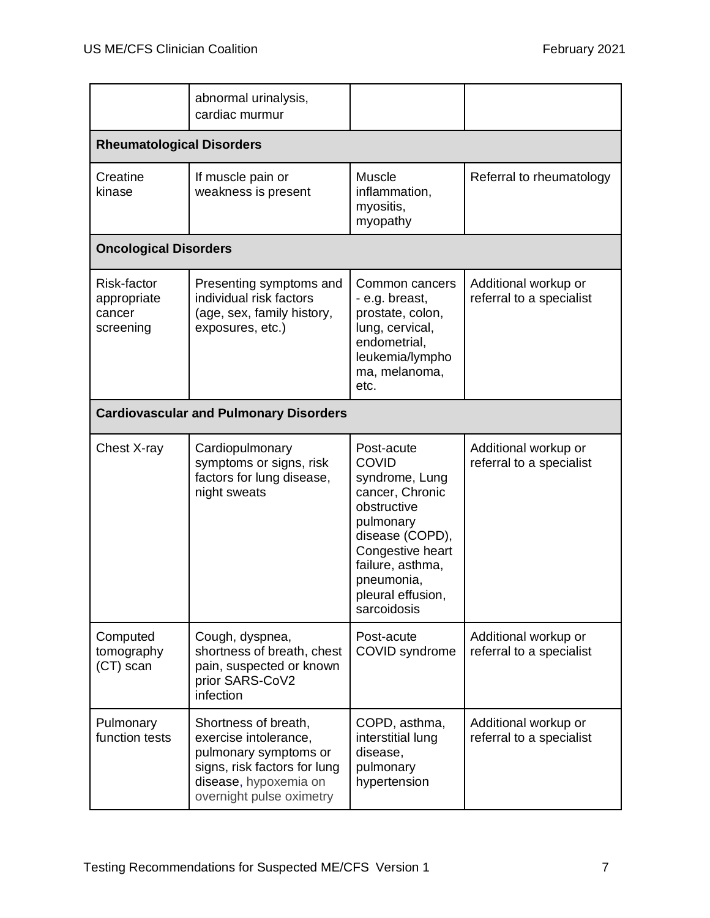|                                                   | abnormal urinalysis,<br>cardiac murmur                                                                                                                      |                                                                                                                                                                                                          |                                                  |
|---------------------------------------------------|-------------------------------------------------------------------------------------------------------------------------------------------------------------|----------------------------------------------------------------------------------------------------------------------------------------------------------------------------------------------------------|--------------------------------------------------|
| <b>Rheumatological Disorders</b>                  |                                                                                                                                                             |                                                                                                                                                                                                          |                                                  |
| Creatine<br>kinase                                | If muscle pain or<br>weakness is present                                                                                                                    | Muscle<br>inflammation,<br>myositis,<br>myopathy                                                                                                                                                         | Referral to rheumatology                         |
| <b>Oncological Disorders</b>                      |                                                                                                                                                             |                                                                                                                                                                                                          |                                                  |
| Risk-factor<br>appropriate<br>cancer<br>screening | Presenting symptoms and<br>individual risk factors<br>(age, sex, family history,<br>exposures, etc.)                                                        | Common cancers<br>- e.g. breast,<br>prostate, colon,<br>lung, cervical,<br>endometrial,<br>leukemia/lympho<br>ma, melanoma,<br>etc.                                                                      | Additional workup or<br>referral to a specialist |
| <b>Cardiovascular and Pulmonary Disorders</b>     |                                                                                                                                                             |                                                                                                                                                                                                          |                                                  |
| Chest X-ray                                       | Cardiopulmonary<br>symptoms or signs, risk<br>factors for lung disease,<br>night sweats                                                                     | Post-acute<br><b>COVID</b><br>syndrome, Lung<br>cancer, Chronic<br>obstructive<br>pulmonary<br>disease (COPD),<br>Congestive heart<br>failure, asthma,<br>pneumonia,<br>pleural effusion,<br>sarcoidosis | Additional workup or<br>referral to a specialist |
| Computed<br>tomography<br>(CT) scan               | Cough, dyspnea,<br>shortness of breath, chest<br>pain, suspected or known<br>prior SARS-CoV2<br>infection                                                   | Post-acute<br>COVID syndrome                                                                                                                                                                             | Additional workup or<br>referral to a specialist |
| Pulmonary<br>function tests                       | Shortness of breath,<br>exercise intolerance,<br>pulmonary symptoms or<br>signs, risk factors for lung<br>disease, hypoxemia on<br>overnight pulse oximetry | COPD, asthma,<br>interstitial lung<br>disease,<br>pulmonary<br>hypertension                                                                                                                              | Additional workup or<br>referral to a specialist |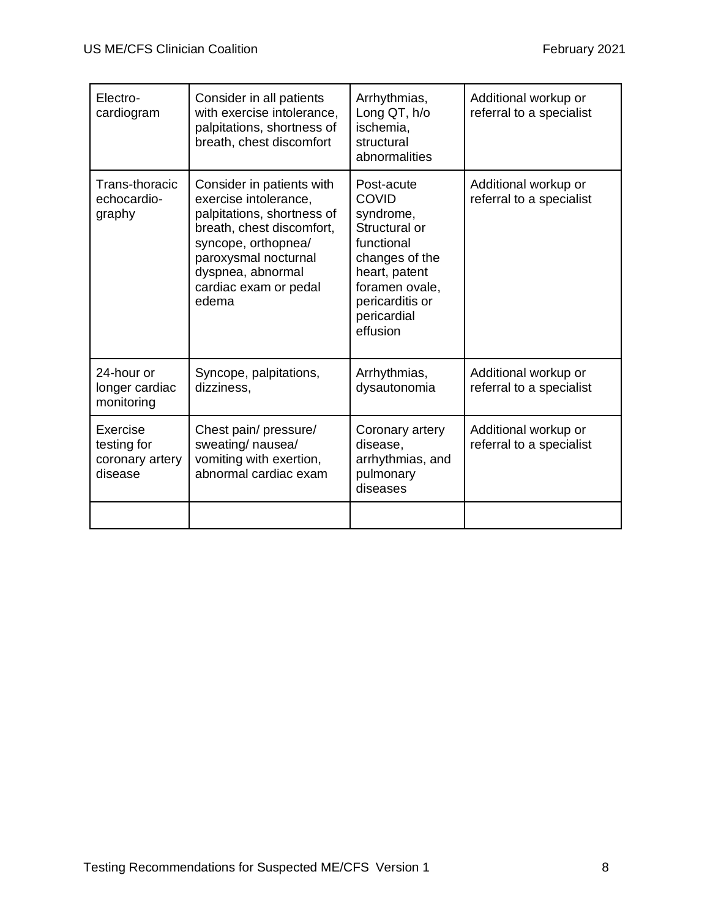| Electro-<br>cardiogram                                | Consider in all patients<br>with exercise intolerance,<br>palpitations, shortness of<br>breath, chest discomfort                                                                                                    | Arrhythmias,<br>Long QT, h/o<br>ischemia,<br>structural                                                                                                                                    | Additional workup or<br>referral to a specialist |
|-------------------------------------------------------|---------------------------------------------------------------------------------------------------------------------------------------------------------------------------------------------------------------------|--------------------------------------------------------------------------------------------------------------------------------------------------------------------------------------------|--------------------------------------------------|
| Trans-thoracic<br>echocardio-<br>graphy               | Consider in patients with<br>exercise intolerance,<br>palpitations, shortness of<br>breath, chest discomfort,<br>syncope, orthopnea/<br>paroxysmal nocturnal<br>dyspnea, abnormal<br>cardiac exam or pedal<br>edema | abnormalities<br>Post-acute<br><b>COVID</b><br>syndrome,<br>Structural or<br>functional<br>changes of the<br>heart, patent<br>foramen ovale,<br>pericarditis or<br>pericardial<br>effusion | Additional workup or<br>referral to a specialist |
| 24-hour or<br>longer cardiac<br>monitoring            | Syncope, palpitations,<br>dizziness.                                                                                                                                                                                | Arrhythmias,<br>dysautonomia                                                                                                                                                               | Additional workup or<br>referral to a specialist |
| Exercise<br>testing for<br>coronary artery<br>disease | Chest pain/ pressure/<br>sweating/ nausea/<br>vomiting with exertion,<br>abnormal cardiac exam                                                                                                                      | Coronary artery<br>disease,<br>arrhythmias, and<br>pulmonary<br>diseases                                                                                                                   | Additional workup or<br>referral to a specialist |
|                                                       |                                                                                                                                                                                                                     |                                                                                                                                                                                            |                                                  |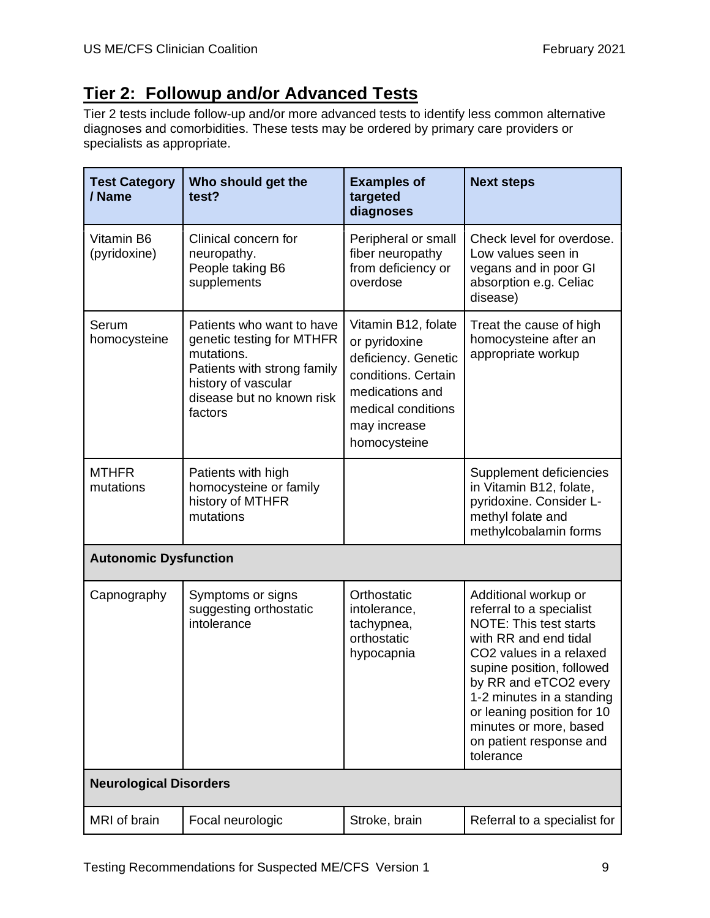# **Tier 2: Followup and/or Advanced Tests**

Tier 2 tests include follow-up and/or more advanced tests to identify less common alternative diagnoses and comorbidities. These tests may be ordered by primary care providers or specialists as appropriate.

| <b>Test Category</b><br>/ Name | Who should get the<br>test?                                                                                                                                        | <b>Examples of</b><br>targeted<br>diagnoses                                                                                                                 | <b>Next steps</b>                                                                                                                                                                                                                                                                                                        |
|--------------------------------|--------------------------------------------------------------------------------------------------------------------------------------------------------------------|-------------------------------------------------------------------------------------------------------------------------------------------------------------|--------------------------------------------------------------------------------------------------------------------------------------------------------------------------------------------------------------------------------------------------------------------------------------------------------------------------|
| Vitamin B6<br>(pyridoxine)     | Clinical concern for<br>neuropathy.<br>People taking B6<br>supplements                                                                                             | Peripheral or small<br>fiber neuropathy<br>from deficiency or<br>overdose                                                                                   | Check level for overdose.<br>Low values seen in<br>vegans and in poor GI<br>absorption e.g. Celiac<br>disease)                                                                                                                                                                                                           |
| Serum<br>homocysteine          | Patients who want to have<br>genetic testing for MTHFR<br>mutations.<br>Patients with strong family<br>history of vascular<br>disease but no known risk<br>factors | Vitamin B12, folate<br>or pyridoxine<br>deficiency. Genetic<br>conditions. Certain<br>medications and<br>medical conditions<br>may increase<br>homocysteine | Treat the cause of high<br>homocysteine after an<br>appropriate workup                                                                                                                                                                                                                                                   |
| <b>MTHFR</b><br>mutations      | Patients with high<br>homocysteine or family<br>history of MTHFR<br>mutations                                                                                      |                                                                                                                                                             | Supplement deficiencies<br>in Vitamin B12, folate,<br>pyridoxine. Consider L-<br>methyl folate and<br>methylcobalamin forms                                                                                                                                                                                              |
| <b>Autonomic Dysfunction</b>   |                                                                                                                                                                    |                                                                                                                                                             |                                                                                                                                                                                                                                                                                                                          |
| Capnography                    | Symptoms or signs<br>suggesting orthostatic<br>intolerance                                                                                                         | Orthostatic<br>intolerance,<br>tachypnea,<br>orthostatic<br>hypocapnia                                                                                      | Additional workup or<br>referral to a specialist<br><b>NOTE: This test starts</b><br>with RR and end tidal<br>CO2 values in a relaxed<br>supine position, followed<br>by RR and eTCO2 every<br>1-2 minutes in a standing<br>or leaning position for 10<br>minutes or more, based<br>on patient response and<br>tolerance |
| <b>Neurological Disorders</b>  |                                                                                                                                                                    |                                                                                                                                                             |                                                                                                                                                                                                                                                                                                                          |
| MRI of brain                   | Focal neurologic                                                                                                                                                   | Stroke, brain                                                                                                                                               | Referral to a specialist for                                                                                                                                                                                                                                                                                             |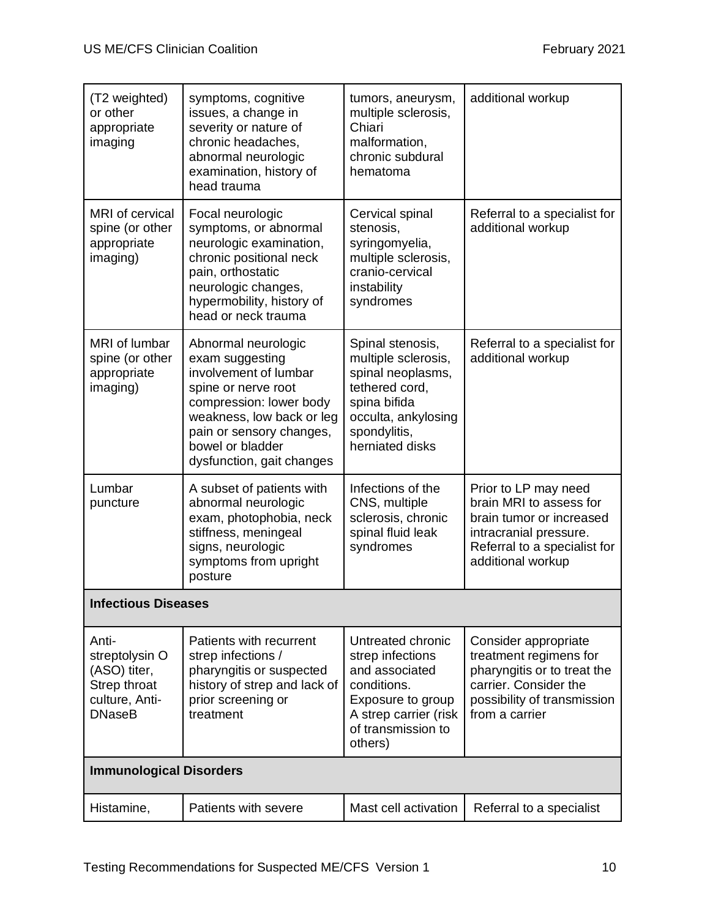| (T2 weighted)<br>or other<br>appropriate<br>imaging                                        | symptoms, cognitive<br>issues, a change in<br>severity or nature of<br>chronic headaches,<br>abnormal neurologic<br>examination, history of<br>head trauma                                                                  | tumors, aneurysm,<br>multiple sclerosis,<br>Chiari<br>malformation,<br>chronic subdural<br>hematoma                                                      | additional workup                                                                                                                                          |  |
|--------------------------------------------------------------------------------------------|-----------------------------------------------------------------------------------------------------------------------------------------------------------------------------------------------------------------------------|----------------------------------------------------------------------------------------------------------------------------------------------------------|------------------------------------------------------------------------------------------------------------------------------------------------------------|--|
| MRI of cervical<br>spine (or other<br>appropriate<br>imaging)                              | Focal neurologic<br>symptoms, or abnormal<br>neurologic examination,<br>chronic positional neck<br>pain, orthostatic<br>neurologic changes,<br>hypermobility, history of<br>head or neck trauma                             | Cervical spinal<br>stenosis,<br>syringomyelia,<br>multiple sclerosis,<br>cranio-cervical<br>instability<br>syndromes                                     | Referral to a specialist for<br>additional workup                                                                                                          |  |
| MRI of lumbar<br>spine (or other<br>appropriate<br>imaging)                                | Abnormal neurologic<br>exam suggesting<br>involvement of lumbar<br>spine or nerve root<br>compression: lower body<br>weakness, low back or leg<br>pain or sensory changes,<br>bowel or bladder<br>dysfunction, gait changes | Spinal stenosis,<br>multiple sclerosis,<br>spinal neoplasms,<br>tethered cord,<br>spina bifida<br>occulta, ankylosing<br>spondylitis,<br>herniated disks | Referral to a specialist for<br>additional workup                                                                                                          |  |
| Lumbar<br>puncture                                                                         | A subset of patients with<br>abnormal neurologic<br>exam, photophobia, neck<br>stiffness, meningeal<br>signs, neurologic<br>symptoms from upright<br>posture                                                                | Infections of the<br>CNS, multiple<br>sclerosis, chronic<br>spinal fluid leak<br>syndromes                                                               | Prior to LP may need<br>brain MRI to assess for<br>brain tumor or increased<br>intracranial pressure.<br>Referral to a specialist for<br>additional workup |  |
| <b>Infectious Diseases</b>                                                                 |                                                                                                                                                                                                                             |                                                                                                                                                          |                                                                                                                                                            |  |
| Anti-<br>streptolysin O<br>(ASO) titer,<br>Strep throat<br>culture, Anti-<br><b>DNaseB</b> | Patients with recurrent<br>strep infections /<br>pharyngitis or suspected<br>history of strep and lack of<br>prior screening or<br>treatment                                                                                | Untreated chronic<br>strep infections<br>and associated<br>conditions.<br>Exposure to group<br>A strep carrier (risk<br>of transmission to<br>others)    | Consider appropriate<br>treatment regimens for<br>pharyngitis or to treat the<br>carrier. Consider the<br>possibility of transmission<br>from a carrier    |  |
|                                                                                            | <b>Immunological Disorders</b>                                                                                                                                                                                              |                                                                                                                                                          |                                                                                                                                                            |  |
| Histamine,                                                                                 | Patients with severe                                                                                                                                                                                                        | Mast cell activation                                                                                                                                     | Referral to a specialist                                                                                                                                   |  |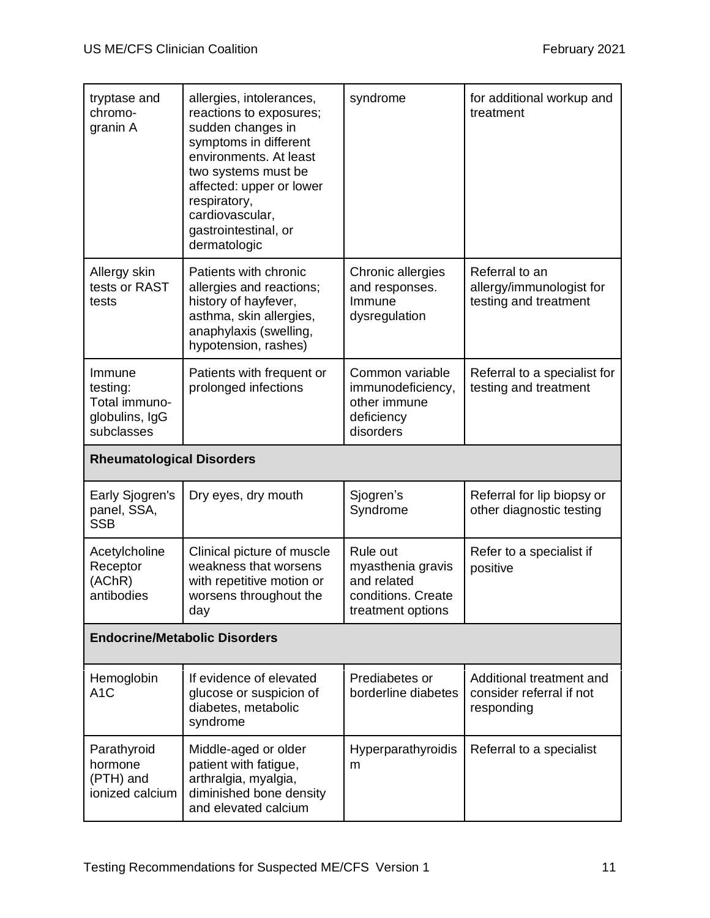| tryptase and<br>chromo-<br>granin A                                 | allergies, intolerances,<br>reactions to exposures;<br>sudden changes in<br>symptoms in different<br>environments. At least<br>two systems must be<br>affected: upper or lower<br>respiratory,<br>cardiovascular,<br>gastrointestinal, or<br>dermatologic | syndrome                                                                                | for additional workup and<br>treatment                              |
|---------------------------------------------------------------------|-----------------------------------------------------------------------------------------------------------------------------------------------------------------------------------------------------------------------------------------------------------|-----------------------------------------------------------------------------------------|---------------------------------------------------------------------|
| Allergy skin<br>tests or RAST<br>tests                              | Patients with chronic<br>allergies and reactions;<br>history of hayfever,<br>asthma, skin allergies,<br>anaphylaxis (swelling,<br>hypotension, rashes)                                                                                                    | Chronic allergies<br>and responses.<br>Immune<br>dysregulation                          | Referral to an<br>allergy/immunologist for<br>testing and treatment |
| Immune<br>testing:<br>Total immuno-<br>globulins, IgG<br>subclasses | Patients with frequent or<br>prolonged infections                                                                                                                                                                                                         | Common variable<br>immunodeficiency,<br>other immune<br>deficiency<br>disorders         | Referral to a specialist for<br>testing and treatment               |
| <b>Rheumatological Disorders</b>                                    |                                                                                                                                                                                                                                                           |                                                                                         |                                                                     |
| Early Sjogren's<br>panel, SSA,<br><b>SSB</b>                        | Dry eyes, dry mouth                                                                                                                                                                                                                                       | Sjogren's<br>Syndrome                                                                   | Referral for lip biopsy or<br>other diagnostic testing              |
| Acetylcholine<br>Receptor<br>(AChR)<br>antibodies                   | Clinical picture of muscle<br>weakness that worsens<br>with repetitive motion or<br>worsens throughout the<br>day                                                                                                                                         | Rule out<br>myasthenia gravis<br>and related<br>conditions. Create<br>treatment options | Refer to a specialist if<br>positive                                |
| <b>Endocrine/Metabolic Disorders</b>                                |                                                                                                                                                                                                                                                           |                                                                                         |                                                                     |
| Hemoglobin<br>A <sub>1</sub> C                                      | If evidence of elevated<br>glucose or suspicion of<br>diabetes, metabolic<br>syndrome                                                                                                                                                                     | Prediabetes or<br>borderline diabetes                                                   | Additional treatment and<br>consider referral if not<br>responding  |
| Parathyroid<br>hormone<br>(PTH) and<br>ionized calcium              | Middle-aged or older<br>patient with fatigue,<br>arthralgia, myalgia,<br>diminished bone density<br>and elevated calcium                                                                                                                                  | Hyperparathyroidis<br>m                                                                 | Referral to a specialist                                            |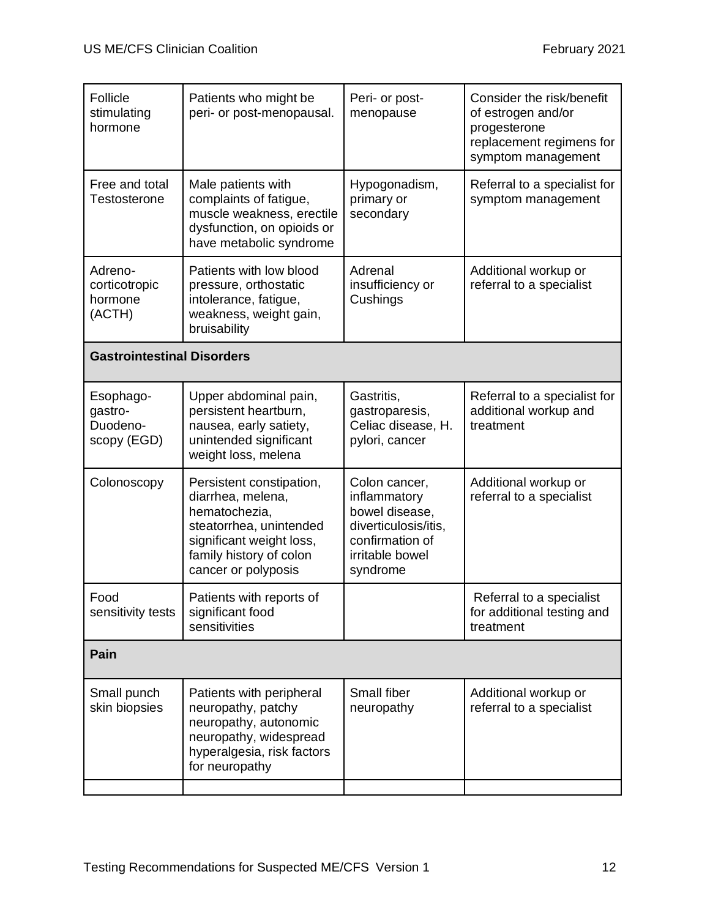| Follicle<br>stimulating<br>hormone              | Patients who might be<br>peri- or post-menopausal.                                                                                                                      | Peri- or post-<br>menopause                                                                                               | Consider the risk/benefit<br>of estrogen and/or<br>progesterone<br>replacement regimens for<br>symptom management |
|-------------------------------------------------|-------------------------------------------------------------------------------------------------------------------------------------------------------------------------|---------------------------------------------------------------------------------------------------------------------------|-------------------------------------------------------------------------------------------------------------------|
| Free and total<br>Testosterone                  | Male patients with<br>complaints of fatigue,<br>muscle weakness, erectile<br>dysfunction, on opioids or<br>have metabolic syndrome                                      | Hypogonadism,<br>primary or<br>secondary                                                                                  | Referral to a specialist for<br>symptom management                                                                |
| Adreno-<br>corticotropic<br>hormone<br>(ACTH)   | Patients with low blood<br>pressure, orthostatic<br>intolerance, fatigue,<br>weakness, weight gain,<br>bruisability                                                     | Adrenal<br>insufficiency or<br>Cushings                                                                                   | Additional workup or<br>referral to a specialist                                                                  |
| <b>Gastrointestinal Disorders</b>               |                                                                                                                                                                         |                                                                                                                           |                                                                                                                   |
| Esophago-<br>gastro-<br>Duodeno-<br>scopy (EGD) | Upper abdominal pain,<br>persistent heartburn,<br>nausea, early satiety,<br>unintended significant<br>weight loss, melena                                               | Gastritis,<br>gastroparesis,<br>Celiac disease, H.<br>pylori, cancer                                                      | Referral to a specialist for<br>additional workup and<br>treatment                                                |
| Colonoscopy                                     | Persistent constipation,<br>diarrhea, melena,<br>hematochezia,<br>steatorrhea, unintended<br>significant weight loss,<br>family history of colon<br>cancer or polyposis | Colon cancer,<br>inflammatory<br>bowel disease,<br>diverticulosis/itis,<br>confirmation of<br>irritable bowel<br>syndrome | Additional workup or<br>referral to a specialist                                                                  |
| Food<br>sensitivity tests                       | Patients with reports of<br>significant food<br>sensitivities                                                                                                           |                                                                                                                           | Referral to a specialist<br>for additional testing and<br>treatment                                               |
| Pain                                            |                                                                                                                                                                         |                                                                                                                           |                                                                                                                   |
| Small punch<br>skin biopsies                    | Patients with peripheral<br>neuropathy, patchy<br>neuropathy, autonomic<br>neuropathy, widespread<br>hyperalgesia, risk factors<br>for neuropathy                       | Small fiber<br>neuropathy                                                                                                 | Additional workup or<br>referral to a specialist                                                                  |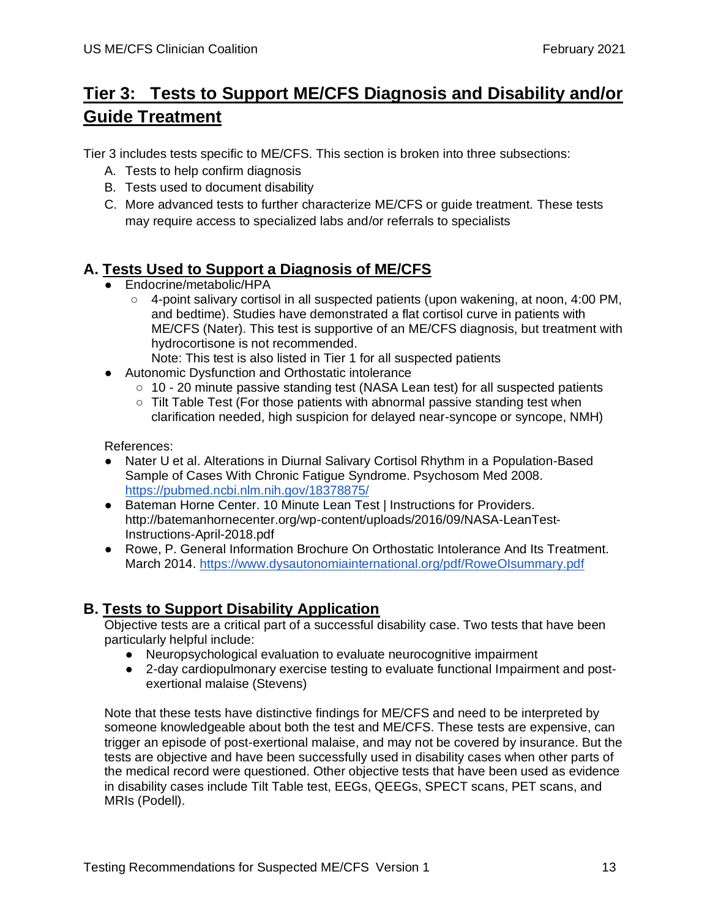# **Tier 3: Tests to Support ME/CFS Diagnosis and Disability and/or Guide Treatment**

Tier 3 includes tests specific to ME/CFS. This section is broken into three subsections:

- A. Tests to help confirm diagnosis
- B. Tests used to document disability
- C. More advanced tests to further characterize ME/CFS or guide treatment. These tests may require access to specialized labs and/or referrals to specialists

## **A. Tests Used to Support a Diagnosis of ME/CFS**

- Endocrine/metabolic/HPA
	- $\circ$  4-point salivary cortisol in all suspected patients (upon wakening, at noon, 4:00 PM, and bedtime). Studies have demonstrated a flat cortisol curve in patients with ME/CFS (Nater). This test is supportive of an ME/CFS diagnosis, but treatment with hydrocortisone is not recommended. Note: This test is also listed in Tier 1 for all suspected patients
	-
- Autonomic Dysfunction and Orthostatic intolerance
	- $\circ$  10 20 minute passive standing test (NASA Lean test) for all suspected patients
	- Tilt Table Test (For those patients with abnormal passive standing test when clarification needed, high suspicion for delayed near-syncope or syncope, NMH)

References:

- Nater U et al. Alterations in Diurnal Salivary Cortisol Rhythm in a Population-Based Sample of Cases With Chronic Fatigue Syndrome. Psychosom Med 2008. <https://pubmed.ncbi.nlm.nih.gov/18378875/>
- Bateman Horne Center. 10 Minute Lean Test I Instructions for Providers. http://batemanhornecenter.org/wp-content/uploads/2016/09/NASA-LeanTest-Instructions-April-2018.pdf
- Rowe, P. General Information Brochure On Orthostatic Intolerance And Its Treatment. March 2014.<https://www.dysautonomiainternational.org/pdf/RoweOIsummary.pdf>

## **B. Tests to Support Disability Application**

Objective tests are a critical part of a successful disability case. Two tests that have been particularly helpful include:

- Neuropsychological evaluation to evaluate neurocognitive impairment
- 2-day cardiopulmonary exercise testing to evaluate functional Impairment and postexertional malaise (Stevens)

Note that these tests have distinctive findings for ME/CFS and need to be interpreted by someone knowledgeable about both the test and ME/CFS. These tests are expensive, can trigger an episode of post-exertional malaise, and may not be covered by insurance. But the tests are objective and have been successfully used in disability cases when other parts of the medical record were questioned. Other objective tests that have been used as evidence in disability cases include Tilt Table test, EEGs, QEEGs, SPECT scans, PET scans, and MRIs (Podell).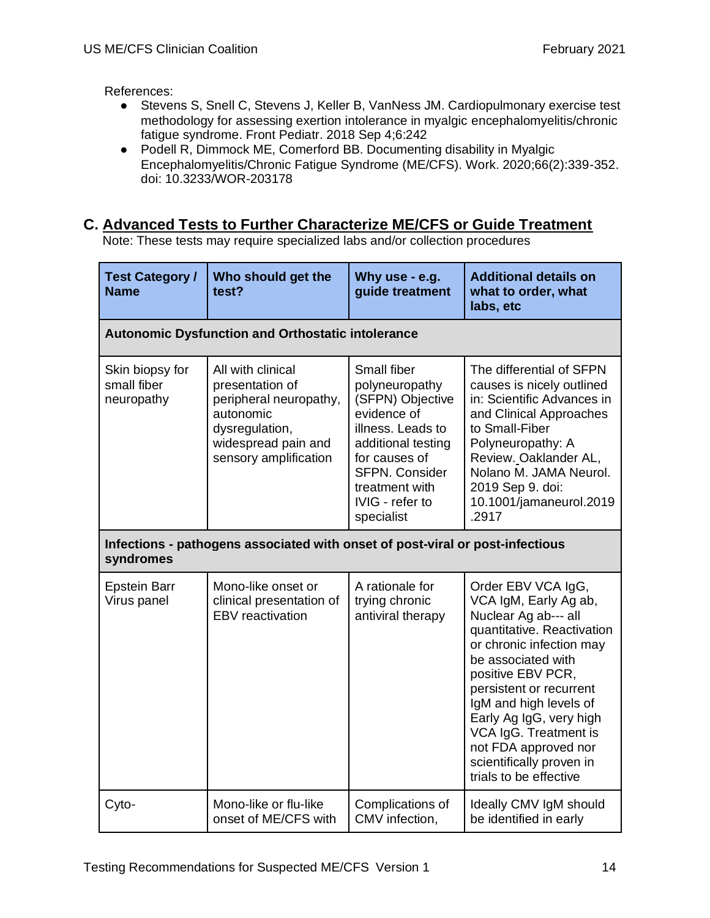References:

- Stevens S, Snell C, Stevens J, Keller B, VanNess JM. Cardiopulmonary exercise test methodology for assessing exertion intolerance in myalgic encephalomyelitis/chronic fatigue syndrome. Front Pediatr. 2018 Sep 4;6:242
- Podell R, Dimmock ME, Comerford BB. Documenting disability in Myalgic Encephalomyelitis/Chronic Fatigue Syndrome (ME/CFS). Work. 2020;66(2):339-352. doi: 10.3233/WOR-203178

### **C. Advanced Tests to Further Characterize ME/CFS or Guide Treatment**

Note: These tests may require specialized labs and/or collection procedures

| <b>Test Category /</b><br><b>Name</b>                                                      | Who should get the<br>test?                                                                                                                   | Why use - e.g.<br>guide treatment                                                                                                                                                                        | <b>Additional details on</b><br>what to order, what<br>labs, etc                                                                                                                                                                                                                                                                                                |  |  |  |
|--------------------------------------------------------------------------------------------|-----------------------------------------------------------------------------------------------------------------------------------------------|----------------------------------------------------------------------------------------------------------------------------------------------------------------------------------------------------------|-----------------------------------------------------------------------------------------------------------------------------------------------------------------------------------------------------------------------------------------------------------------------------------------------------------------------------------------------------------------|--|--|--|
| <b>Autonomic Dysfunction and Orthostatic intolerance</b>                                   |                                                                                                                                               |                                                                                                                                                                                                          |                                                                                                                                                                                                                                                                                                                                                                 |  |  |  |
| Skin biopsy for<br>small fiber<br>neuropathy                                               | All with clinical<br>presentation of<br>peripheral neuropathy,<br>autonomic<br>dysregulation,<br>widespread pain and<br>sensory amplification | Small fiber<br>polyneuropathy<br>(SFPN) Objective<br>evidence of<br>illness. Leads to<br>additional testing<br>for causes of<br><b>SFPN. Consider</b><br>treatment with<br>IVIG - refer to<br>specialist | The differential of SFPN<br>causes is nicely outlined<br>in: Scientific Advances in<br>and Clinical Approaches<br>to Small-Fiber<br>Polyneuropathy: A<br>Review. Oaklander AL,<br>Nolano M. JAMA Neurol.<br>2019 Sep 9. doi:<br>10.1001/jamaneurol.2019<br>.2917                                                                                                |  |  |  |
| Infections - pathogens associated with onset of post-viral or post-infectious<br>syndromes |                                                                                                                                               |                                                                                                                                                                                                          |                                                                                                                                                                                                                                                                                                                                                                 |  |  |  |
| <b>Epstein Barr</b><br>Virus panel                                                         | Mono-like onset or<br>clinical presentation of<br>EBV reactivation                                                                            | A rationale for<br>trying chronic<br>antiviral therapy                                                                                                                                                   | Order EBV VCA IgG,<br>VCA IgM, Early Ag ab,<br>Nuclear Ag ab--- all<br>quantitative. Reactivation<br>or chronic infection may<br>be associated with<br>positive EBV PCR,<br>persistent or recurrent<br>IgM and high levels of<br>Early Ag IgG, very high<br>VCA IgG. Treatment is<br>not FDA approved nor<br>scientifically proven in<br>trials to be effective |  |  |  |
| Cyto-                                                                                      | Mono-like or flu-like<br>onset of ME/CFS with                                                                                                 | Complications of<br>CMV infection,                                                                                                                                                                       | Ideally CMV IgM should<br>be identified in early                                                                                                                                                                                                                                                                                                                |  |  |  |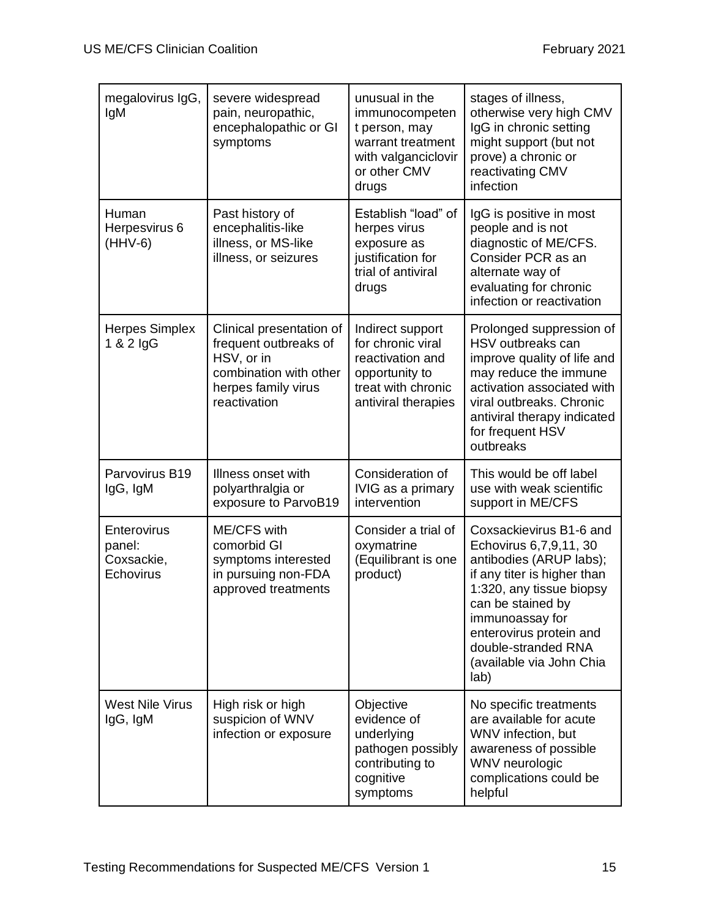| megalovirus IgG,<br>IgM                          | severe widespread<br>pain, neuropathic,<br>encephalopathic or GI<br>symptoms                                                     | unusual in the<br>immunocompeten<br>t person, may<br>warrant treatment<br>with valganciclovir<br>or other CMV<br>drugs   | stages of illness,<br>otherwise very high CMV<br>IgG in chronic setting<br>might support (but not<br>prove) a chronic or<br>reactivating CMV<br>infection                                                                                                             |
|--------------------------------------------------|----------------------------------------------------------------------------------------------------------------------------------|--------------------------------------------------------------------------------------------------------------------------|-----------------------------------------------------------------------------------------------------------------------------------------------------------------------------------------------------------------------------------------------------------------------|
| Human<br>Herpesvirus 6<br>$(HHV-6)$              | Past history of<br>encephalitis-like<br>illness, or MS-like<br>illness, or seizures                                              | Establish "load" of<br>herpes virus<br>exposure as<br>justification for<br>trial of antiviral<br>drugs                   | IgG is positive in most<br>people and is not<br>diagnostic of ME/CFS.<br>Consider PCR as an<br>alternate way of<br>evaluating for chronic<br>infection or reactivation                                                                                                |
| <b>Herpes Simplex</b><br>$1 & 2$ lgG             | Clinical presentation of<br>frequent outbreaks of<br>HSV, or in<br>combination with other<br>herpes family virus<br>reactivation | Indirect support<br>for chronic viral<br>reactivation and<br>opportunity to<br>treat with chronic<br>antiviral therapies | Prolonged suppression of<br>HSV outbreaks can<br>improve quality of life and<br>may reduce the immune<br>activation associated with<br>viral outbreaks. Chronic<br>antiviral therapy indicated<br>for frequent HSV<br>outbreaks                                       |
| Parvovirus B19<br>IgG, IgM                       | Illness onset with<br>polyarthralgia or<br>exposure to ParvoB19                                                                  | Consideration of<br>IVIG as a primary<br>intervention                                                                    | This would be off label<br>use with weak scientific<br>support in ME/CFS                                                                                                                                                                                              |
| Enterovirus<br>panel:<br>Coxsackie,<br>Echovirus | <b>ME/CFS with</b><br>comorbid GI<br>symptoms interested<br>in pursuing non-FDA<br>approved treatments                           | Consider a trial of<br>oxymatrine<br>(Equilibrant is one<br>product)                                                     | Coxsackievirus B1-6 and<br>Echovirus 6,7,9,11, 30<br>antibodies (ARUP labs);<br>if any titer is higher than<br>1:320, any tissue biopsy<br>can be stained by<br>immunoassay for<br>enterovirus protein and<br>double-stranded RNA<br>(available via John Chia<br>lab) |
| <b>West Nile Virus</b><br>IgG, IgM               | High risk or high<br>suspicion of WNV<br>infection or exposure                                                                   | Objective<br>evidence of<br>underlying<br>pathogen possibly<br>contributing to<br>cognitive<br>symptoms                  | No specific treatments<br>are available for acute<br>WNV infection, but<br>awareness of possible<br>WNV neurologic<br>complications could be<br>helpful                                                                                                               |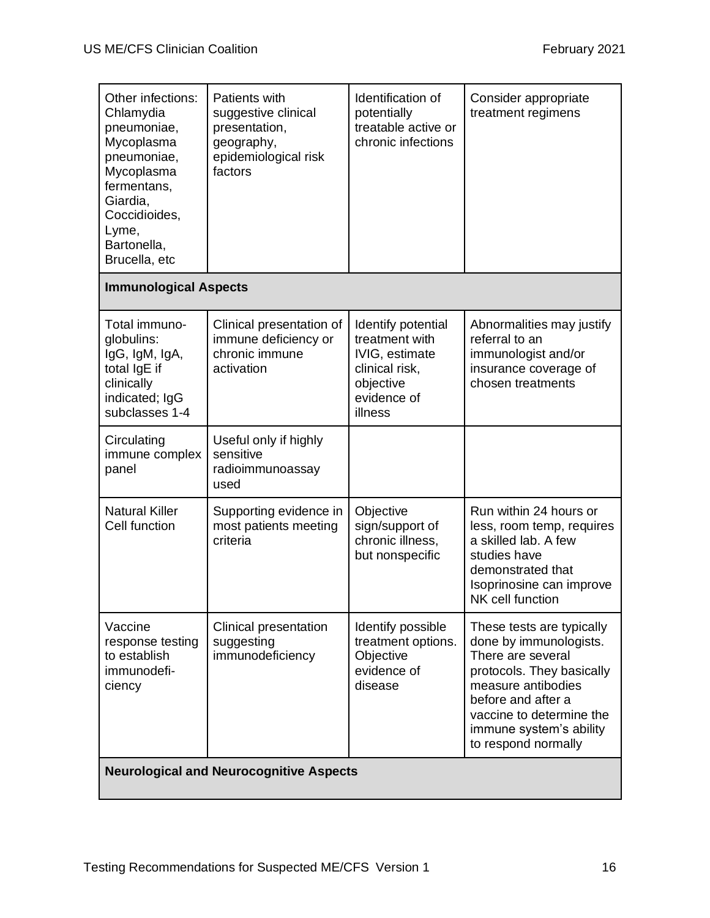| Other infections:<br>Chlamydia<br>pneumoniae,<br>Mycoplasma<br>pneumoniae,<br>Mycoplasma<br>fermentans,<br>Giardia,<br>Coccidioides,<br>Lyme,<br>Bartonella,<br>Brucella, etc | Patients with<br>suggestive clinical<br>presentation,<br>geography,<br>epidemiological risk<br>factors | Identification of<br>potentially<br>treatable active or<br>chronic infections                                   | Consider appropriate<br>treatment regimens                                                                                                                                                                                      |  |  |
|-------------------------------------------------------------------------------------------------------------------------------------------------------------------------------|--------------------------------------------------------------------------------------------------------|-----------------------------------------------------------------------------------------------------------------|---------------------------------------------------------------------------------------------------------------------------------------------------------------------------------------------------------------------------------|--|--|
| <b>Immunological Aspects</b>                                                                                                                                                  |                                                                                                        |                                                                                                                 |                                                                                                                                                                                                                                 |  |  |
| Total immuno-<br>globulins:<br>IgG, IgM, IgA,<br>total IgE if<br>clinically<br>indicated; IgG<br>subclasses 1-4                                                               | Clinical presentation of<br>immune deficiency or<br>chronic immune<br>activation                       | Identify potential<br>treatment with<br>IVIG, estimate<br>clinical risk,<br>objective<br>evidence of<br>illness | Abnormalities may justify<br>referral to an<br>immunologist and/or<br>insurance coverage of<br>chosen treatments                                                                                                                |  |  |
| Circulating<br>immune complex<br>panel                                                                                                                                        | Useful only if highly<br>sensitive<br>radioimmunoassay<br>used                                         |                                                                                                                 |                                                                                                                                                                                                                                 |  |  |
| <b>Natural Killer</b><br>Cell function                                                                                                                                        | Supporting evidence in<br>most patients meeting<br>criteria                                            | Objective<br>sign/support of<br>chronic illness,<br>but nonspecific                                             | Run within 24 hours or<br>less, room temp, requires<br>a skilled lab. A few<br>studies have<br>demonstrated that<br>Isoprinosine can improve<br>NK cell function                                                                |  |  |
| Vaccine<br>response testing<br>to establish<br>immunodefi-<br>ciency                                                                                                          | <b>Clinical presentation</b><br>suggesting<br>immunodeficiency                                         | Identify possible<br>treatment options.<br>Objective<br>evidence of<br>disease                                  | These tests are typically<br>done by immunologists.<br>There are several<br>protocols. They basically<br>measure antibodies<br>before and after a<br>vaccine to determine the<br>immune system's ability<br>to respond normally |  |  |
| <b>Neurological and Neurocognitive Aspects</b>                                                                                                                                |                                                                                                        |                                                                                                                 |                                                                                                                                                                                                                                 |  |  |

 $\mathbf{I}$ 

 $\mathbf{I}$